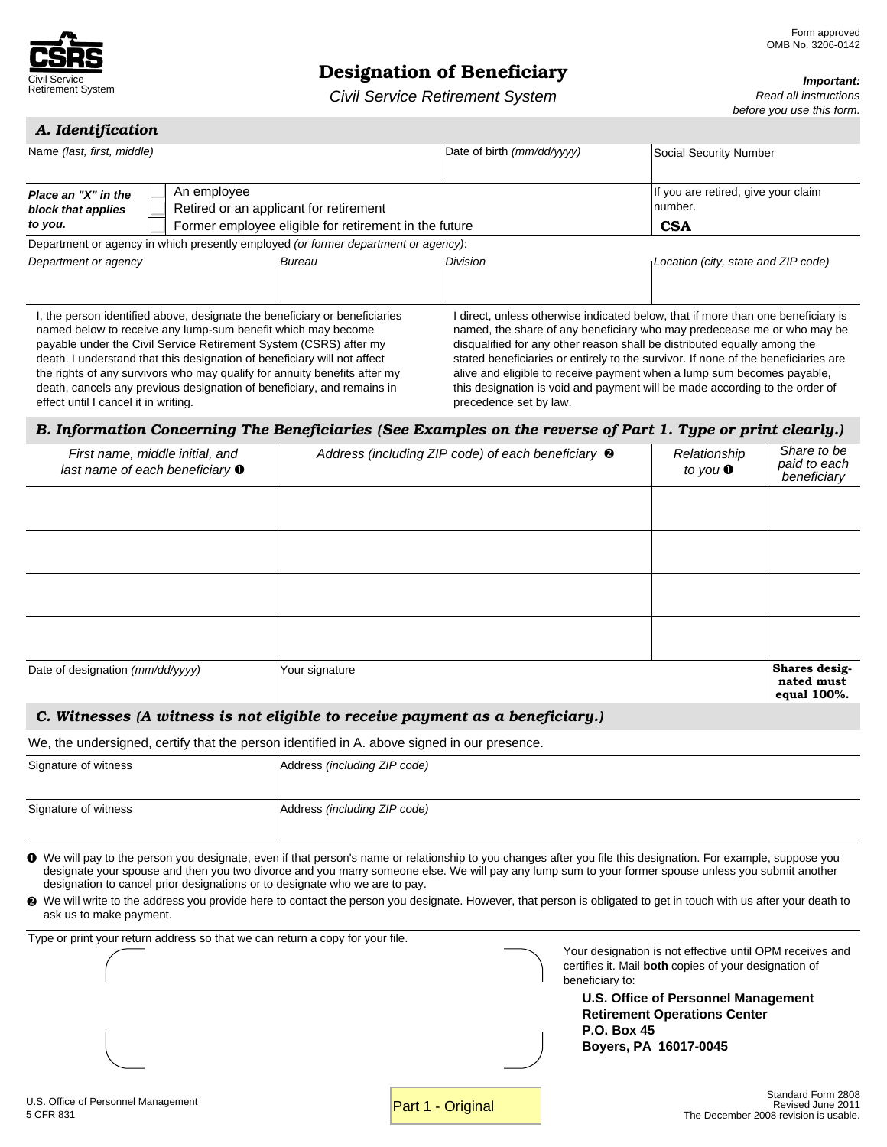

# Designation of Beneficiary

*Important:*

*Read all instructions before you use this form.*

*Civil Service Retirement System*

| A. Identification |
|-------------------|
|                   |

| Name (last, first, middle)                                                                                                                                                                                                                                                                                                      |                                                                                                                                                         | Date of birth (mm/dd/yyyy) | Social Security Number                                                                                                                                                                                                                                                                                                                                                                                                                                                                 |
|---------------------------------------------------------------------------------------------------------------------------------------------------------------------------------------------------------------------------------------------------------------------------------------------------------------------------------|---------------------------------------------------------------------------------------------------------------------------------------------------------|----------------------------|----------------------------------------------------------------------------------------------------------------------------------------------------------------------------------------------------------------------------------------------------------------------------------------------------------------------------------------------------------------------------------------------------------------------------------------------------------------------------------------|
| An employee<br>Place an "X" in the<br>block that applies<br>to you.                                                                                                                                                                                                                                                             | Retired or an applicant for retirement<br>Former employee eligible for retirement in the future                                                         |                            | If you are retired, give your claim<br>number.<br><b>CSA</b>                                                                                                                                                                                                                                                                                                                                                                                                                           |
|                                                                                                                                                                                                                                                                                                                                 | Department or agency in which presently employed (or former department or agency):                                                                      |                            |                                                                                                                                                                                                                                                                                                                                                                                                                                                                                        |
| Department or agency                                                                                                                                                                                                                                                                                                            | <b>Bureau</b>                                                                                                                                           | <b>Division</b>            | Location (city, state and ZIP code)                                                                                                                                                                                                                                                                                                                                                                                                                                                    |
| named below to receive any lump-sum benefit which may become<br>payable under the Civil Service Retirement System (CSRS) after my<br>death. I understand that this designation of beneficiary will not affect<br>death, cancels any previous designation of beneficiary, and remains in<br>effect until I cancel it in writing. | I, the person identified above, designate the beneficiary or beneficiaries<br>the rights of any survivors who may qualify for annuity benefits after my | precedence set by law.     | I direct, unless otherwise indicated below, that if more than one beneficiary is<br>named, the share of any beneficiary who may predecease me or who may be<br>disqualified for any other reason shall be distributed equally among the<br>stated beneficiaries or entirely to the survivor. If none of the beneficiaries are<br>alive and eligible to receive payment when a lump sum becomes payable.<br>this designation is void and payment will be made according to the order of |

### *B. Information Concerning The Beneficiaries (See Examples on the reverse of Part 1. Type or print clearly.)*

| First name, middle initial, and<br>last name of each beneficiary $\bullet$ | Address (including ZIP code) of each beneficiary <sup>®</sup> | Relationship<br>to you $\bullet$ | Share to be<br>paid to each<br>beneficiary |
|----------------------------------------------------------------------------|---------------------------------------------------------------|----------------------------------|--------------------------------------------|
|                                                                            |                                                               |                                  |                                            |
|                                                                            |                                                               |                                  |                                            |
|                                                                            |                                                               |                                  |                                            |
|                                                                            |                                                               |                                  |                                            |
| Date of designation (mm/dd/yyyy)                                           | Your signature                                                |                                  | Shares desig-<br>nated must<br>equal 100%. |

## *C. Witnesses (A witness is not eligible to receive payment as a beneficiary.)*

We, the undersigned, certify that the person identified in A. above signed in our presence.

| Signature of witness | Address (including ZIP code) |
|----------------------|------------------------------|
|                      |                              |
| Signature of witness | Address (including ZIP code) |

n We will pay to the person you designate, even if that person's name or relationship to you changes after you file this designation. For example, suppose you designate your spouse and then you two divorce and you marry someone else. We will pay any lump sum to your former spouse unless you submit another designation to cancel prior designations or to designate who we are to pay.

<sup>2</sup> We will write to the address you provide here to contact the person you designate. However, that person is obligated to get in touch with us after your death to ask us to make payment.

Type or print your return address so that we can return a copy for your file.

Your designation is not effective until OPM receives and certifies it. Mail **both** copies of your designation of beneficiary to:

**U.S. Office of Personnel Management Retirement Operations Center P.O. Box 45 Boyers, PA 16017-0045**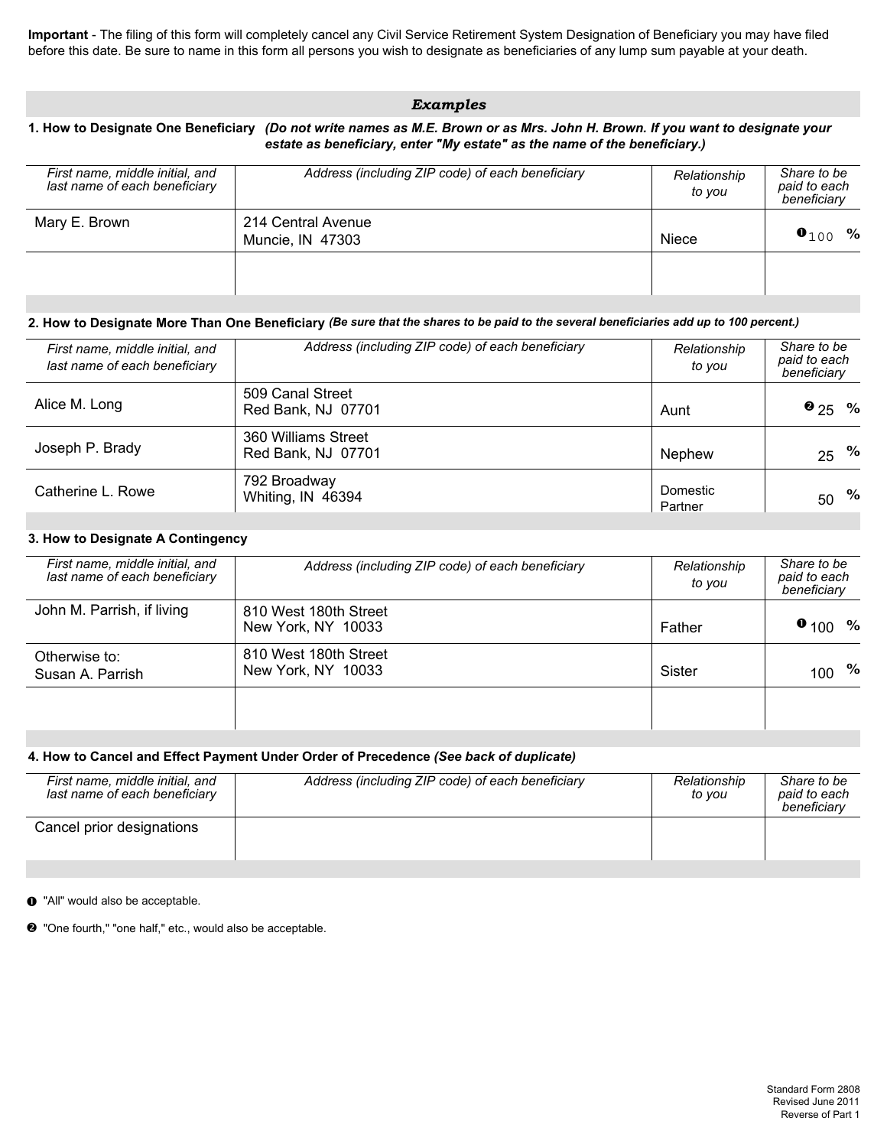**Important** - The filing of this form will completely cancel any Civil Service Retirement System Designation of Beneficiary you may have filed before this date. Be sure to name in this form all persons you wish to designate as beneficiaries of any lump sum payable at your death.

# *Examples*

#### **1. How to Designate One Beneficiary** *(Do not write names as M.E. Brown or as Mrs. John H. Brown. If you want to designate your estate as beneficiary, enter "My estate" as the name of the beneficiary.)*

| First name, middle initial, and<br>last name of each beneficiary | Address (including ZIP code) of each beneficiary | Relationship<br>to vou | Share to be<br>paid to each<br>beneficiary |
|------------------------------------------------------------------|--------------------------------------------------|------------------------|--------------------------------------------|
| Mary E. Brown                                                    | 214 Central Avenue<br>Muncie, IN 47303           | <b>Niece</b>           | $\bullet_{100}$ %                          |
|                                                                  |                                                  |                        |                                            |

### **2. How to Designate More Than One Beneficiary** *(Be sure that the shares to be paid to the several beneficiaries add up to 100 percent.)*

| First name, middle initial, and<br>last name of each beneficiary | Address (including ZIP code) of each beneficiary | Relationship<br>to you | Share to be<br>paid to each<br>beneficiary |
|------------------------------------------------------------------|--------------------------------------------------|------------------------|--------------------------------------------|
| Alice M. Long                                                    | 509 Canal Street<br>Red Bank, NJ 07701           | Aunt                   | $\bullet$ 25 %                             |
| Joseph P. Brady                                                  | 360 Williams Street<br>Red Bank, NJ 07701        | Nephew                 | $25 \frac{9}{6}$                           |
| Catherine L. Rowe                                                | 792 Broadway<br>Whiting, IN 46394                | Domestic<br>Partner    | $50^{96}$                                  |

#### **3. How to Designate A Contingency**

| First name, middle initial, and<br>last name of each beneficiary | Address (including ZIP code) of each beneficiary | Relationship<br>to vou | Share to be<br>paid to each<br>beneficiary |
|------------------------------------------------------------------|--------------------------------------------------|------------------------|--------------------------------------------|
| John M. Parrish, if living                                       | 810 West 180th Street<br>New York, NY 10033      | Father                 | $\bullet$ 100<br>$\%$                      |
| Otherwise to:<br>Susan A. Parrish                                | 810 West 180th Street<br>New York, NY 10033      | Sister                 | %<br>100                                   |
|                                                                  |                                                  |                        |                                            |

#### **4. How to Cancel and Effect Payment Under Order of Precedence** *(See back of duplicate)*

| First name, middle initial, and<br>last name of each beneficiary | Address (including ZIP code) of each beneficiary | Relationship<br>to vou | Share to be<br>paid to each<br>beneficiary |
|------------------------------------------------------------------|--------------------------------------------------|------------------------|--------------------------------------------|
| Cancel prior designations                                        |                                                  |                        |                                            |

 $\bullet$  "All" would also be acceptable.

• "One fourth," "one half," etc., would also be acceptable.